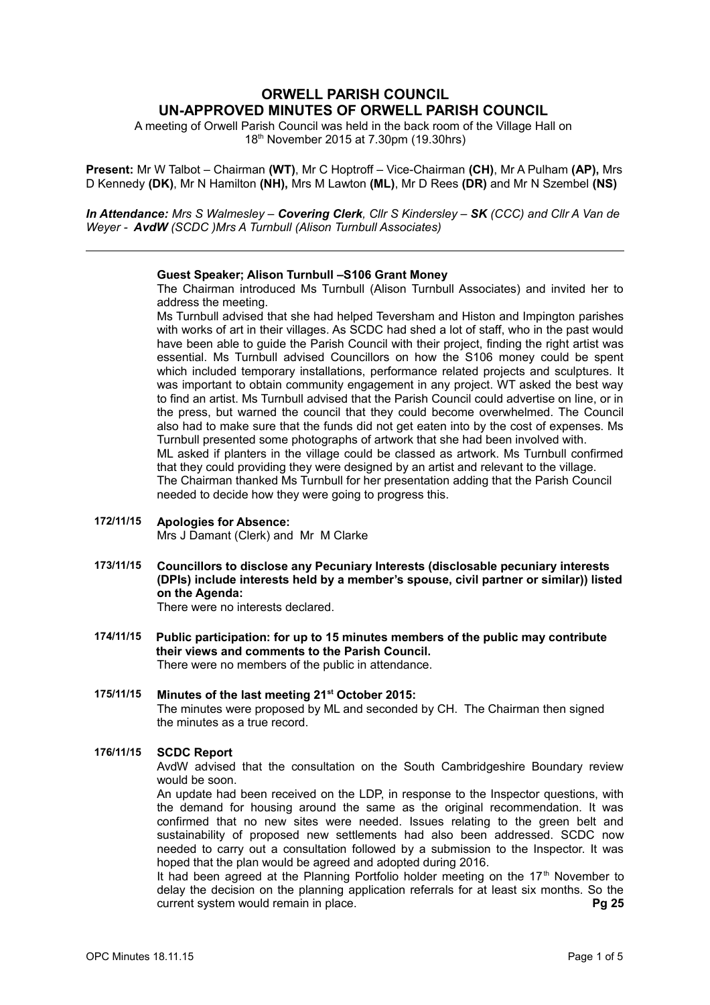# **ORWELL PARISH COUNCIL UN-APPROVED MINUTES OF ORWELL PARISH COUNCIL**

A meeting of Orwell Parish Council was held in the back room of the Village Hall on 18th November 2015 at 7.30pm (19.30hrs)

**Present:** Mr W Talbot – Chairman **(WT)**, Mr C Hoptroff – Vice-Chairman **(CH)**, Mr A Pulham **(AP),** Mrs D Kennedy **(DK)**, Mr N Hamilton **(NH),** Mrs M Lawton **(ML)**, Mr D Rees **(DR)** and Mr N Szembel **(NS)**

*In Attendance: Mrs S Walmesley – Covering Clerk, Cllr S Kindersley – SK (CCC) and Cllr A Van de Weyer - AvdW (SCDC )Mrs A Turnbull (Alison Turnbull Associates)*

## **Guest Speaker; Alison Turnbull –S106 Grant Money**

The Chairman introduced Ms Turnbull (Alison Turnbull Associates) and invited her to address the meeting.

Ms Turnbull advised that she had helped Teversham and Histon and Impington parishes with works of art in their villages. As SCDC had shed a lot of staff, who in the past would have been able to guide the Parish Council with their project, finding the right artist was essential. Ms Turnbull advised Councillors on how the S106 money could be spent which included temporary installations, performance related projects and sculptures. It was important to obtain community engagement in any project. WT asked the best way to find an artist. Ms Turnbull advised that the Parish Council could advertise on line, or in the press, but warned the council that they could become overwhelmed. The Council also had to make sure that the funds did not get eaten into by the cost of expenses. Ms Turnbull presented some photographs of artwork that she had been involved with. ML asked if planters in the village could be classed as artwork. Ms Turnbull confirmed that they could providing they were designed by an artist and relevant to the village. The Chairman thanked Ms Turnbull for her presentation adding that the Parish Council needed to decide how they were going to progress this.

#### **172/11/15 Apologies for Absence:** Mrs J Damant (Clerk) and Mr M Clarke

**173/11/15 Councillors to disclose any Pecuniary Interests (disclosable pecuniary interests (DPIs) include interests held by a member's spouse, civil partner or similar)) listed on the Agenda:**

There were no interests declared.

- **174/11/15 Public participation: for up to 15 minutes members of the public may contribute their views and comments to the Parish Council.** There were no members of the public in attendance.
- **175/11/15 Minutes of the last meeting 21st October 2015:**  The minutes were proposed by ML and seconded by CH. The Chairman then signed the minutes as a true record.

# **176/11/15 SCDC Report**

AvdW advised that the consultation on the South Cambridgeshire Boundary review would be soon.

An update had been received on the LDP, in response to the Inspector questions, with the demand for housing around the same as the original recommendation. It was confirmed that no new sites were needed. Issues relating to the green belt and sustainability of proposed new settlements had also been addressed. SCDC now needed to carry out a consultation followed by a submission to the Inspector. It was hoped that the plan would be agreed and adopted during 2016.

It had been agreed at the Planning Portfolio holder meeting on the  $17<sup>th</sup>$  November to delay the decision on the planning application referrals for at least six months. So the current system would remain in place. **Pg 25**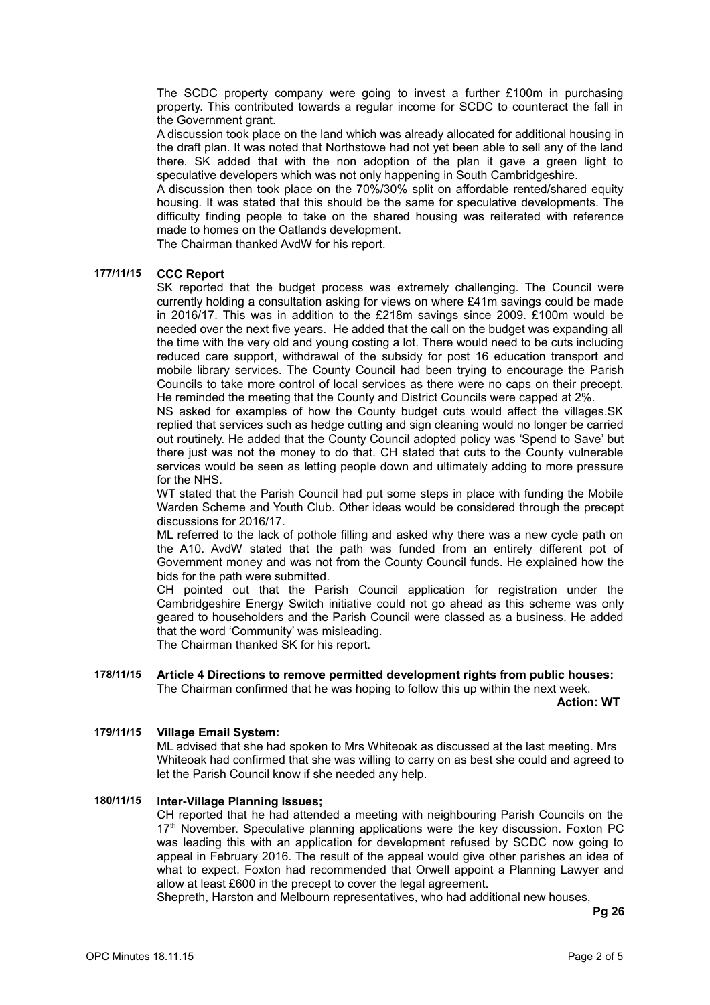The SCDC property company were going to invest a further £100m in purchasing property. This contributed towards a regular income for SCDC to counteract the fall in the Government grant.

A discussion took place on the land which was already allocated for additional housing in the draft plan. It was noted that Northstowe had not yet been able to sell any of the land there. SK added that with the non adoption of the plan it gave a green light to speculative developers which was not only happening in South Cambridgeshire.

A discussion then took place on the 70%/30% split on affordable rented/shared equity housing. It was stated that this should be the same for speculative developments. The difficulty finding people to take on the shared housing was reiterated with reference made to homes on the Oatlands development.

The Chairman thanked AvdW for his report.

## **177/11/15 CCC Report**

SK reported that the budget process was extremely challenging. The Council were currently holding a consultation asking for views on where £41m savings could be made in 2016/17. This was in addition to the £218m savings since 2009. £100m would be needed over the next five years. He added that the call on the budget was expanding all the time with the very old and young costing a lot. There would need to be cuts including reduced care support, withdrawal of the subsidy for post 16 education transport and mobile library services. The County Council had been trying to encourage the Parish Councils to take more control of local services as there were no caps on their precept. He reminded the meeting that the County and District Councils were capped at 2%.

NS asked for examples of how the County budget cuts would affect the villages.SK replied that services such as hedge cutting and sign cleaning would no longer be carried out routinely. He added that the County Council adopted policy was 'Spend to Save' but there just was not the money to do that. CH stated that cuts to the County vulnerable services would be seen as letting people down and ultimately adding to more pressure for the NHS.

WT stated that the Parish Council had put some steps in place with funding the Mobile Warden Scheme and Youth Club. Other ideas would be considered through the precept discussions for 2016/17.

ML referred to the lack of pothole filling and asked why there was a new cycle path on the A10. AvdW stated that the path was funded from an entirely different pot of Government money and was not from the County Council funds. He explained how the bids for the path were submitted.

CH pointed out that the Parish Council application for registration under the Cambridgeshire Energy Switch initiative could not go ahead as this scheme was only geared to householders and the Parish Council were classed as a business. He added that the word 'Community' was misleading.

The Chairman thanked SK for his report.

#### **178/11/15 Article 4 Directions to remove permitted development rights from public houses:** The Chairman confirmed that he was hoping to follow this up within the next week.

**Action: WT**

## **179/11/15 Village Email System:**

ML advised that she had spoken to Mrs Whiteoak as discussed at the last meeting. Mrs Whiteoak had confirmed that she was willing to carry on as best she could and agreed to let the Parish Council know if she needed any help.

## **180/11/15 Inter-Village Planning Issues;**

CH reported that he had attended a meeting with neighbouring Parish Councils on the 17<sup>th</sup> November. Speculative planning applications were the key discussion. Foxton PC was leading this with an application for development refused by SCDC now going to appeal in February 2016. The result of the appeal would give other parishes an idea of what to expect. Foxton had recommended that Orwell appoint a Planning Lawyer and allow at least £600 in the precept to cover the legal agreement.

Shepreth, Harston and Melbourn representatives, who had additional new houses,

**Pg 26**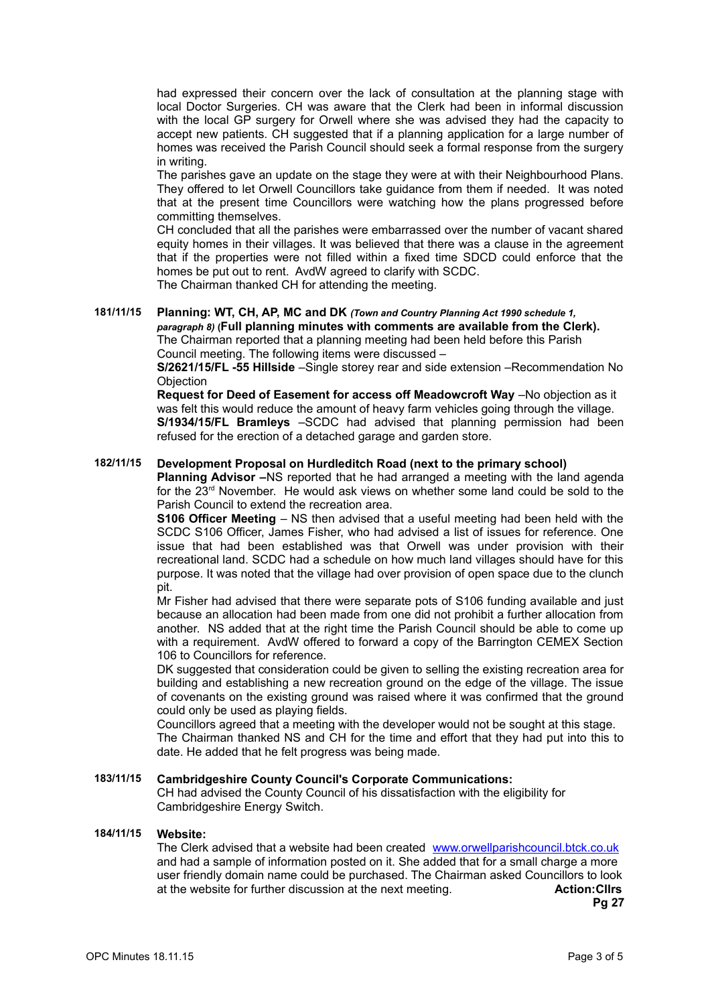had expressed their concern over the lack of consultation at the planning stage with local Doctor Surgeries. CH was aware that the Clerk had been in informal discussion with the local GP surgery for Orwell where she was advised they had the capacity to accept new patients. CH suggested that if a planning application for a large number of homes was received the Parish Council should seek a formal response from the surgery in writing.

The parishes gave an update on the stage they were at with their Neighbourhood Plans. They offered to let Orwell Councillors take guidance from them if needed. It was noted that at the present time Councillors were watching how the plans progressed before committing themselves.

CH concluded that all the parishes were embarrassed over the number of vacant shared equity homes in their villages. It was believed that there was a clause in the agreement that if the properties were not filled within a fixed time SDCD could enforce that the homes be put out to rent. AvdW agreed to clarify with SCDC.

The Chairman thanked CH for attending the meeting.

# **181/11/15 Planning: WT, CH, AP, MC and DK** *(Town and Country Planning Act 1990 schedule 1, paragraph 8)* **(Full planning minutes with comments are available from the Clerk).**

The Chairman reported that a planning meeting had been held before this Parish Council meeting. The following items were discussed –

**S/2621/15/FL -55 Hillside** –Single storey rear and side extension –Recommendation No **Objection** 

**Request for Deed of Easement for access off Meadowcroft Way** –No objection as it was felt this would reduce the amount of heavy farm vehicles going through the village. **S/1934/15/FL Bramleys** –SCDC had advised that planning permission had been refused for the erection of a detached garage and garden store.

# **182/11/15 Development Proposal on Hurdleditch Road (next to the primary school)**

**Planning Advisor –**NS reported that he had arranged a meeting with the land agenda for the  $23<sup>rd</sup>$  November. He would ask views on whether some land could be sold to the Parish Council to extend the recreation area.

**S106 Officer Meeting** – NS then advised that a useful meeting had been held with the SCDC S106 Officer, James Fisher, who had advised a list of issues for reference. One issue that had been established was that Orwell was under provision with their recreational land. SCDC had a schedule on how much land villages should have for this purpose. It was noted that the village had over provision of open space due to the clunch pit.

Mr Fisher had advised that there were separate pots of S106 funding available and just because an allocation had been made from one did not prohibit a further allocation from another. NS added that at the right time the Parish Council should be able to come up with a requirement. AvdW offered to forward a copy of the Barrington CEMEX Section 106 to Councillors for reference.

DK suggested that consideration could be given to selling the existing recreation area for building and establishing a new recreation ground on the edge of the village. The issue of covenants on the existing ground was raised where it was confirmed that the ground could only be used as playing fields.

Councillors agreed that a meeting with the developer would not be sought at this stage. The Chairman thanked NS and CH for the time and effort that they had put into this to date. He added that he felt progress was being made.

## **183/11/15 Cambridgeshire County Council's Corporate Communications:**

CH had advised the County Council of his dissatisfaction with the eligibility for Cambridgeshire Energy Switch.

## **184/11/15 Website:**

The Clerk advised that a website had been created [www.orwellparishcouncil.btck.co.uk](http://www.orwellparishcouncil.btck.co.uk/) and had a sample of information posted on it. She added that for a small charge a more user friendly domain name could be purchased. The Chairman asked Councillors to look at the website for further discussion at the next meeting. **Action:Cllrs**

**Pg 27**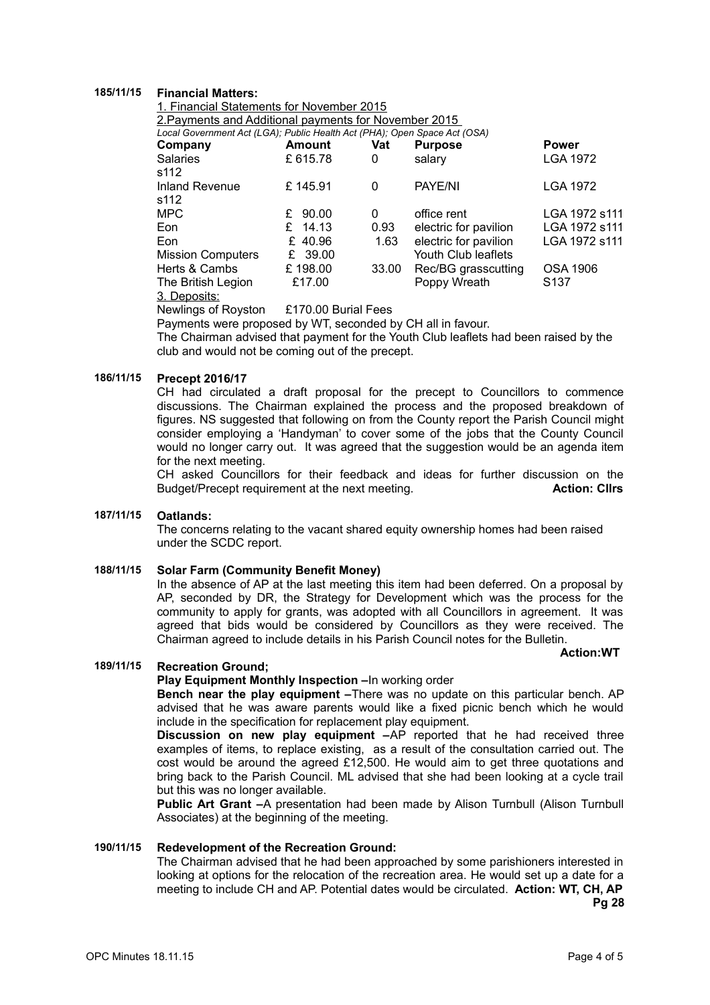# **185/11/15 Financial Matters:**

1. Financial Statements for November 2015 2.Payments and Additional payments for November 2015

*Local Government Act (LGA); Public Health Act (PHA); Open Space Act (OSA)*

| Company                       | <b>Amount</b> | Vat      | <b>Purpose</b>        | <b>Power</b>     |
|-------------------------------|---------------|----------|-----------------------|------------------|
| <b>Salaries</b><br>s112       | £615.78       | 0        | salary                | <b>LGA 1972</b>  |
| <b>Inland Revenue</b><br>s112 | £145.91       | 0        | PAYE/NI               | <b>LGA 1972</b>  |
| <b>MPC</b>                    | £ 90.00       | $\Omega$ | office rent           | LGA 1972 s111    |
| Eon                           | £ $14.13$     | 0.93     | electric for pavilion | LGA 1972 s111    |
| Eon                           | £40.96        | 1.63     | electric for pavilion | LGA 1972 s111    |
| <b>Mission Computers</b>      | £ 39.00       |          | Youth Club leaflets   |                  |
| Herts & Cambs                 | £198.00       | 33.00    | Rec/BG grasscutting   | <b>OSA 1906</b>  |
| The British Legion            | £17.00        |          | Poppy Wreath          | S <sub>137</sub> |

3. Deposits:

Newlings of Royston £170.00 Burial Fees

Payments were proposed by WT, seconded by CH all in favour.

The Chairman advised that payment for the Youth Club leaflets had been raised by the club and would not be coming out of the precept.

## **186/11/15 Precept 2016/17**

CH had circulated a draft proposal for the precept to Councillors to commence discussions. The Chairman explained the process and the proposed breakdown of figures. NS suggested that following on from the County report the Parish Council might consider employing a 'Handyman' to cover some of the jobs that the County Council would no longer carry out. It was agreed that the suggestion would be an agenda item for the next meeting.

CH asked Councillors for their feedback and ideas for further discussion on the Budget/Precept requirement at the next meeting. **Action: Cllrs**

### **187/11/15 Oatlands:**

The concerns relating to the vacant shared equity ownership homes had been raised under the SCDC report.

# **188/11/15 Solar Farm (Community Benefit Money)**

In the absence of AP at the last meeting this item had been deferred. On a proposal by AP, seconded by DR, the Strategy for Development which was the process for the community to apply for grants, was adopted with all Councillors in agreement. It was agreed that bids would be considered by Councillors as they were received. The Chairman agreed to include details in his Parish Council notes for the Bulletin.

#### **Action:WT**

## **189/11/15 Recreation Ground;**

#### **Play Equipment Monthly Inspection –**In working order

**Bench near the play equipment –**There was no update on this particular bench. AP advised that he was aware parents would like a fixed picnic bench which he would include in the specification for replacement play equipment.

**Discussion on new play equipment –**AP reported that he had received three examples of items, to replace existing, as a result of the consultation carried out. The cost would be around the agreed £12,500. He would aim to get three quotations and bring back to the Parish Council. ML advised that she had been looking at a cycle trail but this was no longer available.

**Public Art Grant –**A presentation had been made by Alison Turnbull (Alison Turnbull Associates) at the beginning of the meeting.

#### **190/11/15 Redevelopment of the Recreation Ground:**

The Chairman advised that he had been approached by some parishioners interested in looking at options for the relocation of the recreation area. He would set up a date for a meeting to include CH and AP. Potential dates would be circulated. **Action: WT, CH, AP Pg 28**